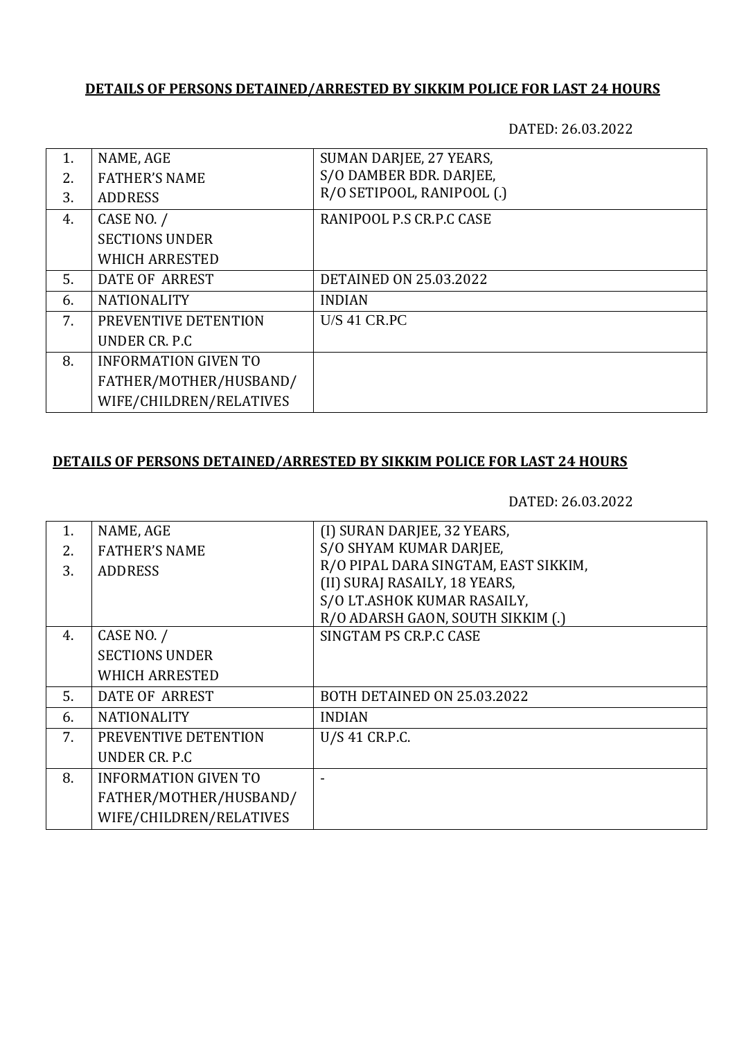#### **DETAILS OF PERSONS DETAINED/ARRESTED BY SIKKIM POLICE FOR LAST 24 HOURS**

DATED: 26.03.2022

| 1. | NAME, AGE                   | SUMAN DARJEE, 27 YEARS,       |
|----|-----------------------------|-------------------------------|
| 2. | <b>FATHER'S NAME</b>        | S/O DAMBER BDR. DARJEE,       |
| 3. | <b>ADDRESS</b>              | R/O SETIPOOL, RANIPOOL (.)    |
| 4. | CASE NO. /                  | RANIPOOL P.S CR.P.C CASE      |
|    | <b>SECTIONS UNDER</b>       |                               |
|    | <b>WHICH ARRESTED</b>       |                               |
| 5. | DATE OF ARREST              | <b>DETAINED ON 25.03.2022</b> |
| 6. | <b>NATIONALITY</b>          | <b>INDIAN</b>                 |
| 7. | PREVENTIVE DETENTION        | <b>U/S 41 CR.PC</b>           |
|    | UNDER CR. P.C.              |                               |
| 8. | <b>INFORMATION GIVEN TO</b> |                               |
|    | FATHER/MOTHER/HUSBAND/      |                               |
|    | WIFE/CHILDREN/RELATIVES     |                               |

# **DETAILS OF PERSONS DETAINED/ARRESTED BY SIKKIM POLICE FOR LAST 24 HOURS**

DATED: 26.03.2022

| 1. | NAME, AGE                   | (I) SURAN DARJEE, 32 YEARS,          |
|----|-----------------------------|--------------------------------------|
| 2. | <b>FATHER'S NAME</b>        | S/O SHYAM KUMAR DARJEE,              |
| 3. | <b>ADDRESS</b>              | R/O PIPAL DARA SINGTAM, EAST SIKKIM, |
|    |                             | (II) SURAJ RASAILY, 18 YEARS,        |
|    |                             | S/O LT.ASHOK KUMAR RASAILY,          |
|    |                             | R/O ADARSH GAON, SOUTH SIKKIM (.)    |
| 4. | CASE NO. /                  | SINGTAM PS CR.P.C CASE               |
|    | <b>SECTIONS UNDER</b>       |                                      |
|    | <b>WHICH ARRESTED</b>       |                                      |
| 5. | <b>DATE OF ARREST</b>       | BOTH DETAINED ON 25.03.2022          |
| 6. | <b>NATIONALITY</b>          | <b>INDIAN</b>                        |
| 7. | PREVENTIVE DETENTION        | U/S 41 CR.P.C.                       |
|    | UNDER CR. P.C.              |                                      |
| 8. | <b>INFORMATION GIVEN TO</b> |                                      |
|    | FATHER/MOTHER/HUSBAND/      |                                      |
|    | WIFE/CHILDREN/RELATIVES     |                                      |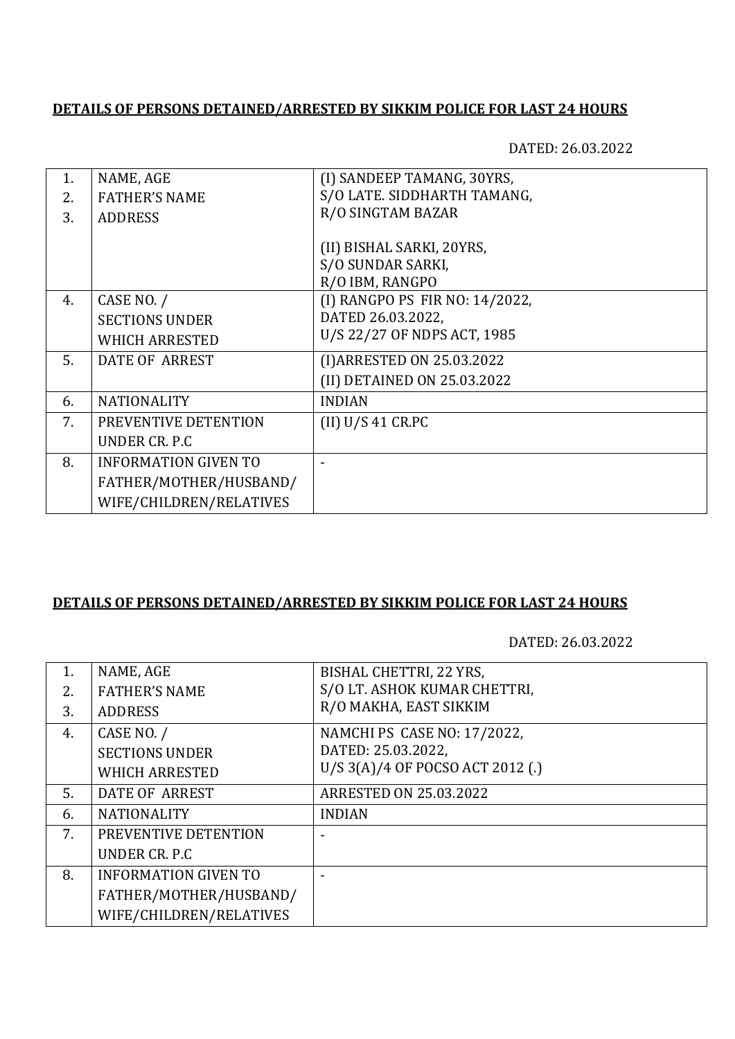#### **DETAILS OF PERSONS DETAINED/ARRESTED BY SIKKIM POLICE FOR LAST 24 HOURS**

DATED: 26.03.2022

| 1. | NAME, AGE                   | (I) SANDEEP TAMANG, 30YRS,     |
|----|-----------------------------|--------------------------------|
| 2. | <b>FATHER'S NAME</b>        | S/O LATE. SIDDHARTH TAMANG,    |
| 3. | <b>ADDRESS</b>              | R/O SINGTAM BAZAR              |
|    |                             |                                |
|    |                             | (II) BISHAL SARKI, 20YRS,      |
|    |                             | S/O SUNDAR SARKI,              |
|    |                             | R/O IBM, RANGPO                |
| 4. | CASE NO. /                  | (I) RANGPO PS FIR NO: 14/2022, |
|    | <b>SECTIONS UNDER</b>       | DATED 26.03.2022,              |
|    | <b>WHICH ARRESTED</b>       | U/S 22/27 OF NDPS ACT, 1985    |
| 5. | <b>DATE OF ARREST</b>       | (I) ARRESTED ON 25.03.2022     |
|    |                             | (II) DETAINED ON 25.03.2022    |
| 6. | <b>NATIONALITY</b>          | <b>INDIAN</b>                  |
| 7. | PREVENTIVE DETENTION        | (II) U/S 41 C R.PC             |
|    | UNDER CR. P.C.              |                                |
| 8. | <b>INFORMATION GIVEN TO</b> |                                |
|    | FATHER/MOTHER/HUSBAND/      |                                |
|    | WIFE/CHILDREN/RELATIVES     |                                |

## **DETAILS OF PERSONS DETAINED/ARRESTED BY SIKKIM POLICE FOR LAST 24 HOURS**

DATED: 26.03.2022

| 1. | NAME, AGE                   | BISHAL CHETTRI, 22 YRS,          |
|----|-----------------------------|----------------------------------|
| 2. | <b>FATHER'S NAME</b>        | S/O LT. ASHOK KUMAR CHETTRI,     |
| 3. | <b>ADDRESS</b>              | R/O MAKHA, EAST SIKKIM           |
| 4. | CASE NO. /                  | NAMCHI PS CASE NO: 17/2022,      |
|    | <b>SECTIONS UNDER</b>       | DATED: 25.03.2022,               |
|    | <b>WHICH ARRESTED</b>       | U/S 3(A)/4 OF POCSO ACT 2012 (.) |
| 5. | <b>DATE OF ARREST</b>       | <b>ARRESTED ON 25.03.2022</b>    |
| 6. | <b>NATIONALITY</b>          | <b>INDIAN</b>                    |
| 7. | PREVENTIVE DETENTION        |                                  |
|    | UNDER CR. P.C.              |                                  |
| 8. | <b>INFORMATION GIVEN TO</b> |                                  |
|    | FATHER/MOTHER/HUSBAND/      |                                  |
|    | WIFE/CHILDREN/RELATIVES     |                                  |